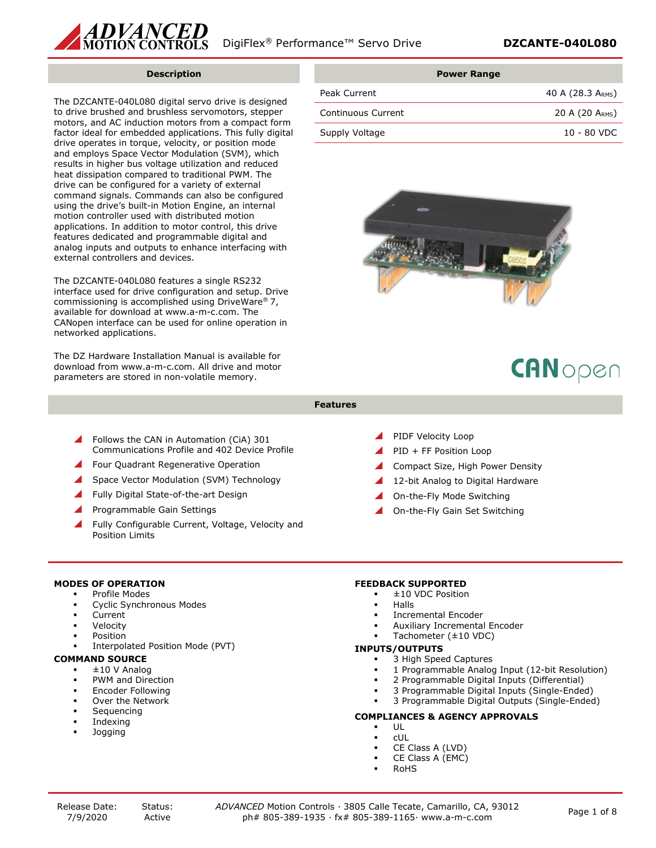

#### **Description**

The DZCANTE-040L080 digital servo drive is designed to drive brushed and brushless servomotors, stepper motors, and AC induction motors from a compact form factor ideal for embedded applications. This fully digital drive operates in torque, velocity, or position mode and employs Space Vector Modulation (SVM), which results in higher bus voltage utilization and reduced heat dissipation compared to traditional PWM. The drive can be configured for a variety of external command signals. Commands can also be configured using the drive's built-in Motion Engine, an internal motion controller used with distributed motion applications. In addition to motor control, this drive features dedicated and programmable digital and analog inputs and outputs to enhance interfacing with external controllers and devices.

The DZCANTE-040L080 features a single RS232 interface used for drive configuration and setup. Drive commissioning is accomplished using DriveWare® 7, available for download at www.a-m-c.com. The CANopen interface can be used for online operation in networked applications.

The DZ Hardware Installation Manual is available for download from www.a-m-c.com. All drive and motor parameters are stored in non-volatile memory.

|                    | <b>Power Range</b> |
|--------------------|--------------------|
| Peak Current       | 40 A (28.3 ARMS)   |
| Continuous Current | 20 A $(20 ARMS)$   |
| Supply Voltage     | $10 - 80$ VDC      |



# CANopen

- **Features**
- Follows the CAN in Automation (CiA) 301 Communications Profile and 402 Device Profile
- Four Quadrant Regenerative Operation
- Space Vector Modulation (SVM) Technology
- Fully Digital State-of-the-art Design
- Programmable Gain Settings
- Fully Configurable Current, Voltage, Velocity and Position Limits
- PIDF Velocity Loop
- PID + FF Position Loop
- Compact Size, High Power Density
- 12-bit Analog to Digital Hardware
- On-the-Fly Mode Switching
- On-the-Fly Gain Set Switching

## **MODES OF OPERATION**

- Profile Modes
- Cyclic Synchronous Modes
- Current
- Velocity
- Position
- Interpolated Position Mode (PVT)

# **COMMAND SOURCE**

- ±10 V Analog
- PWM and Direction
- Encoder Following
- Over the Network
- Sequencing
- Indexing
- Jogging

## **FEEDBACK SUPPORTED**

- ±10 VDC Position
- Halls
- Incremental Encoder
- Auxiliary Incremental Encoder
- Tachometer (±10 VDC)

## **INPUTS/OUTPUTS**

- 3 High Speed Captures
- 1 Programmable Analog Input (12-bit Resolution)
- 2 Programmable Digital Inputs (Differential)
- 3 Programmable Digital Inputs (Single-Ended)
- 3 Programmable Digital Outputs (Single-Ended)

# **COMPLIANCES & AGENCY APPROVALS**

- UL
- cUL
- CE Class A (LVD)
- CE Class A (EMC)
- RoHS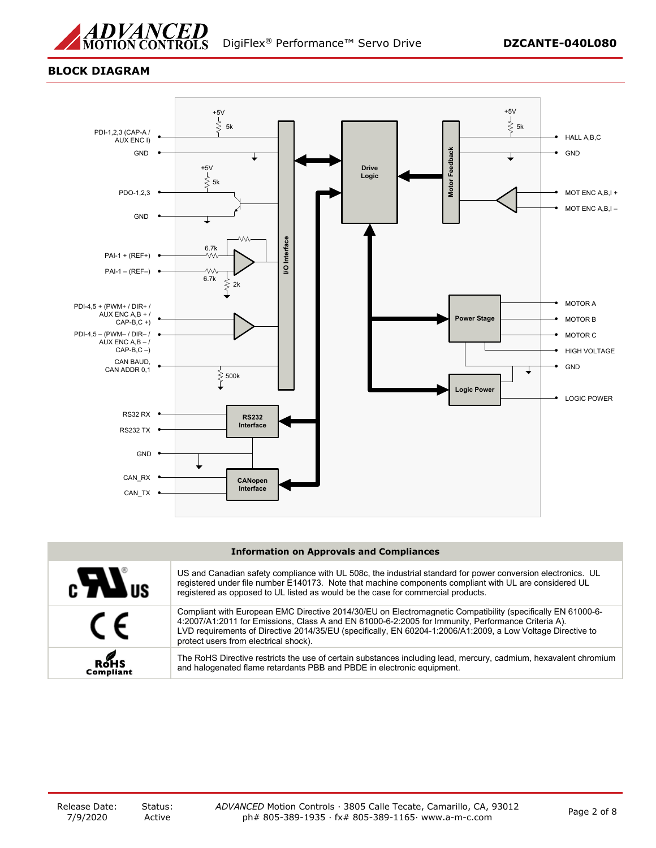

# **BLOCK DIAGRAM**



#### **Information on Approvals and Compliances**

| $c$ $\boldsymbol{H}$ <sub>us</sub> | US and Canadian safety compliance with UL 508c, the industrial standard for power conversion electronics. UL<br>registered under file number E140173. Note that machine components compliant with UL are considered UL<br>registered as opposed to UL listed as would be the case for commercial products.                                                                |
|------------------------------------|---------------------------------------------------------------------------------------------------------------------------------------------------------------------------------------------------------------------------------------------------------------------------------------------------------------------------------------------------------------------------|
| $\epsilon$                         | Compliant with European EMC Directive 2014/30/EU on Electromagnetic Compatibility (specifically EN 61000-6-<br>4:2007/A1:2011 for Emissions, Class A and EN 61000-6-2:2005 for Immunity, Performance Criteria A).<br>LVD requirements of Directive 2014/35/EU (specifically, EN 60204-1:2006/A1:2009, a Low Voltage Directive to<br>protect users from electrical shock). |
| ROHS<br><b>Compliant</b>           | The RoHS Directive restricts the use of certain substances including lead, mercury, cadmium, hexavalent chromium<br>and halogenated flame retardants PBB and PBDE in electronic equipment.                                                                                                                                                                                |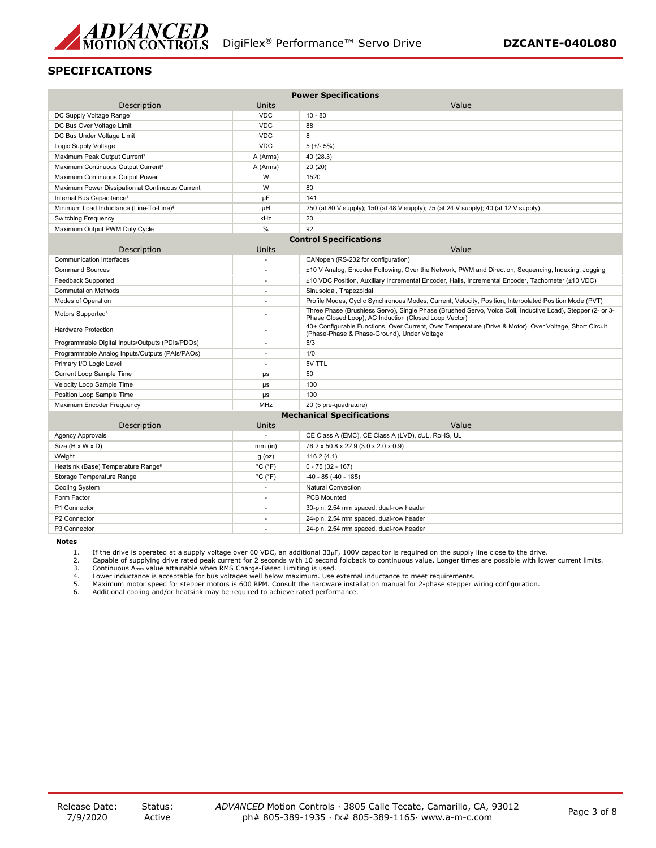

# **SPECIFICATIONS**

| <b>Power Specifications</b>                         |                              |                                                                                                                                                                     |  |
|-----------------------------------------------------|------------------------------|---------------------------------------------------------------------------------------------------------------------------------------------------------------------|--|
| Description                                         | Units                        | Value                                                                                                                                                               |  |
| DC Supply Voltage Range <sup>1</sup>                | <b>VDC</b>                   | $10 - 80$                                                                                                                                                           |  |
| DC Bus Over Voltage Limit                           | <b>VDC</b>                   | 88                                                                                                                                                                  |  |
| DC Bus Under Voltage Limit                          | <b>VDC</b>                   | 8                                                                                                                                                                   |  |
| Logic Supply Voltage                                | <b>VDC</b>                   | $5 (+/- 5%)$                                                                                                                                                        |  |
| Maximum Peak Output Current <sup>2</sup>            | A (Arms)                     | 40 (28.3)                                                                                                                                                           |  |
| Maximum Continuous Output Current <sup>3</sup>      | A (Arms)                     | 20 (20)                                                                                                                                                             |  |
| Maximum Continuous Output Power                     | W                            | 1520                                                                                                                                                                |  |
| Maximum Power Dissipation at Continuous Current     | W                            | 80                                                                                                                                                                  |  |
| Internal Bus Capacitance <sup>1</sup>               | μF                           | 141                                                                                                                                                                 |  |
| Minimum Load Inductance (Line-To-Line) <sup>4</sup> | μH                           | 250 (at 80 V supply); 150 (at 48 V supply); 75 (at 24 V supply); 40 (at 12 V supply)                                                                                |  |
| <b>Switching Frequency</b>                          | kHz                          | 20                                                                                                                                                                  |  |
| Maximum Output PWM Duty Cycle                       | %                            | 92                                                                                                                                                                  |  |
|                                                     |                              | <b>Control Specifications</b>                                                                                                                                       |  |
| Description                                         | Units                        | Value                                                                                                                                                               |  |
| <b>Communication Interfaces</b>                     | i.                           | CANopen (RS-232 for configuration)                                                                                                                                  |  |
| <b>Command Sources</b>                              |                              | ±10 V Analog, Encoder Following, Over the Network, PWM and Direction, Sequencing, Indexing, Jogging                                                                 |  |
| <b>Feedback Supported</b>                           | ÷.                           | ±10 VDC Position, Auxiliary Incremental Encoder, Halls, Incremental Encoder, Tachometer (±10 VDC)                                                                   |  |
| <b>Commutation Methods</b>                          | $\sim$                       | Sinusoidal, Trapezoidal                                                                                                                                             |  |
| Modes of Operation                                  |                              | Profile Modes, Cyclic Synchronous Modes, Current, Velocity, Position, Interpolated Position Mode (PVT)                                                              |  |
| Motors Supported <sup>5</sup>                       |                              | Three Phase (Brushless Servo), Single Phase (Brushed Servo, Voice Coil, Inductive Load), Stepper (2- or 3-<br>Phase Closed Loop), AC Induction (Closed Loop Vector) |  |
| <b>Hardware Protection</b>                          |                              | 40+ Configurable Functions, Over Current, Over Temperature (Drive & Motor), Over Voltage, Short Circuit<br>(Phase-Phase & Phase-Ground), Under Voltage              |  |
| Programmable Digital Inputs/Outputs (PDIs/PDOs)     |                              | 5/3                                                                                                                                                                 |  |
| Programmable Analog Inputs/Outputs (PAIs/PAOs)      |                              | 1/0                                                                                                                                                                 |  |
| Primary I/O Logic Level                             | ÷.                           | 5V TTL                                                                                                                                                              |  |
| Current Loop Sample Time                            | μs                           | 50                                                                                                                                                                  |  |
| Velocity Loop Sample Time                           | μs                           | 100                                                                                                                                                                 |  |
| Position Loop Sample Time                           | μs                           | 100                                                                                                                                                                 |  |
| Maximum Encoder Frequency                           | MHz                          | 20 (5 pre-quadrature)                                                                                                                                               |  |
|                                                     |                              | <b>Mechanical Specifications</b>                                                                                                                                    |  |
| Description                                         | Units                        | Value                                                                                                                                                               |  |
| <b>Agency Approvals</b>                             | ÷.                           | CE Class A (EMC), CE Class A (LVD), cUL, RoHS, UL                                                                                                                   |  |
| Size (H x W x D)                                    | $mm$ (in)                    | 76.2 x 50.8 x 22.9 (3.0 x 2.0 x 0.9)                                                                                                                                |  |
| Weight                                              | $g$ (oz)                     | 116.2(4.1)                                                                                                                                                          |  |
| Heatsink (Base) Temperature Range <sup>6</sup>      | $^{\circ}$ C ( $^{\circ}$ F) | $0 - 75(32 - 167)$                                                                                                                                                  |  |
| Storage Temperature Range                           | $^{\circ}$ C ( $^{\circ}$ F) | $-40 - 85 (-40 - 185)$                                                                                                                                              |  |
| Cooling System                                      | $\sim$                       | <b>Natural Convection</b>                                                                                                                                           |  |
| Form Factor                                         | $\sim$                       | <b>PCB Mounted</b>                                                                                                                                                  |  |
| P1 Connector                                        |                              | 30-pin, 2.54 mm spaced, dual-row header                                                                                                                             |  |
| P2 Connector                                        | ÷                            | 24-pin, 2.54 mm spaced, dual-row header                                                                                                                             |  |
| P3 Connector                                        |                              | 24-pin, 2.54 mm spaced, dual-row header                                                                                                                             |  |

**Notes**

1. If the drive is operated at a supply voltage over 60 VDC, an additional 33μF, 100V capacitor is required on the supply line close to the drive.<br>2. Capable of supplying drive rated peak current for 2 seconds with 10

5. Maximum motor speed for stepper motors is 600 RPM. Consult the hardware installation manual for 2-phase stepper wiring configuration. 6. Additional cooling and/or heatsink may be required to achieve rated performance.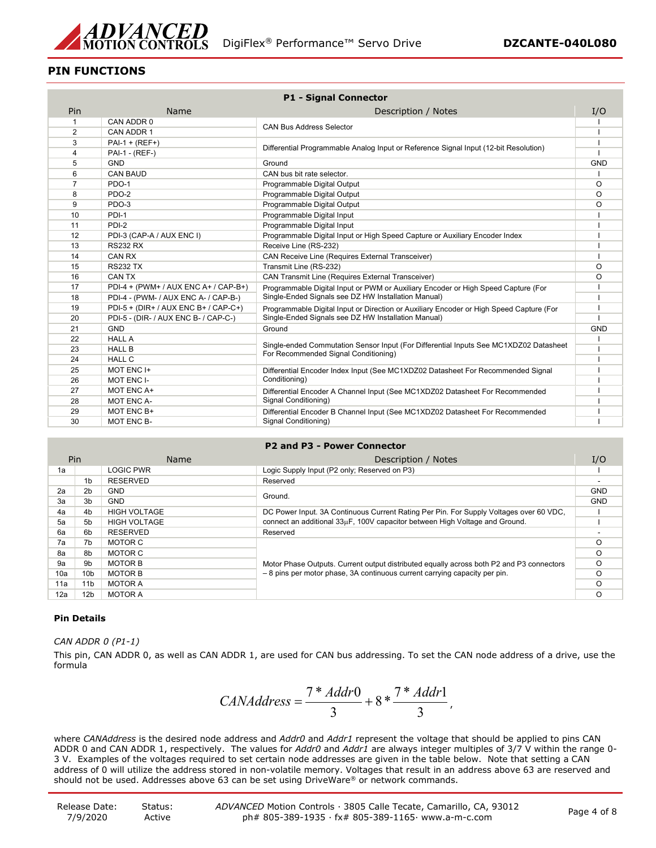

# **PIN FUNCTIONS**

| <b>P1 - Signal Connector</b> |                                      |                                                                                         |            |
|------------------------------|--------------------------------------|-----------------------------------------------------------------------------------------|------------|
| Pin                          | <b>Name</b>                          | Description / Notes                                                                     | I/O        |
| 1                            | CAN ADDR 0                           |                                                                                         |            |
| 2                            | CAN ADDR 1                           | <b>CAN Bus Address Selector</b>                                                         |            |
| 3                            | $PAI - 1 + (REF+)$                   |                                                                                         |            |
| $\overline{4}$               | PAI-1 - (REF-)                       | Differential Programmable Analog Input or Reference Signal Input (12-bit Resolution)    |            |
| 5                            | <b>GND</b>                           | Ground                                                                                  | <b>GND</b> |
| 6                            | <b>CAN BAUD</b>                      | CAN bus bit rate selector.                                                              |            |
| $\overline{7}$               | PDO-1                                | Programmable Digital Output                                                             | O          |
| 8                            | PDO-2                                | Programmable Digital Output                                                             | O          |
| 9                            | PDO-3                                | Programmable Digital Output                                                             | $\Omega$   |
| 10                           | PDI-1                                | Programmable Digital Input                                                              |            |
| 11                           | PDI-2                                | Programmable Digital Input                                                              |            |
| 12                           | PDI-3 (CAP-A / AUX ENC I)            | Programmable Digital Input or High Speed Capture or Auxiliary Encoder Index             |            |
| 13                           | <b>RS232 RX</b>                      | Receive Line (RS-232)                                                                   |            |
| 14                           | CAN RX                               | <b>CAN Receive Line (Requires External Transceiver)</b>                                 |            |
| 15                           | <b>RS232 TX</b>                      | Transmit Line (RS-232)                                                                  | O          |
| 16                           | CAN TX                               | <b>CAN Transmit Line (Requires External Transceiver)</b>                                | O          |
| 17                           | PDI-4 + (PWM+ / AUX ENC A+ / CAP-B+) | Programmable Digital Input or PWM or Auxiliary Encoder or High Speed Capture (For       |            |
| 18                           | PDI-4 - (PWM- / AUX ENC A- / CAP-B-) | Single-Ended Signals see DZ HW Installation Manual)                                     |            |
| 19                           | PDI-5 + (DIR+ / AUX ENC B+ / CAP-C+) | Programmable Digital Input or Direction or Auxiliary Encoder or High Speed Capture (For |            |
| 20                           | PDI-5 - (DIR- / AUX ENC B- / CAP-C-) | Single-Ended Signals see DZ HW Installation Manual)                                     |            |
| 21                           | <b>GND</b>                           | Ground                                                                                  | <b>GND</b> |
| 22                           | <b>HALL A</b>                        | Single-ended Commutation Sensor Input (For Differential Inputs See MC1XDZ02 Datasheet   |            |
| 23                           | <b>HALL B</b>                        | For Recommended Signal Conditioning)                                                    |            |
| 24                           | <b>HALL C</b>                        |                                                                                         |            |
| 25                           | MOT ENC I+                           | Differential Encoder Index Input (See MC1XDZ02 Datasheet For Recommended Signal         |            |
| 26                           | MOT ENC I-                           | Conditioning)                                                                           |            |
| 27                           | MOT ENC A+                           | Differential Encoder A Channel Input (See MC1XDZ02 Datasheet For Recommended            |            |
| 28                           | <b>MOT ENC A-</b>                    | Signal Conditioning)                                                                    |            |
| 29                           | MOT ENC B+                           | Differential Encoder B Channel Input (See MC1XDZ02 Datasheet For Recommended            |            |
| 30                           | MOT ENC B-                           | Signal Conditioning)                                                                    |            |

#### **P2 and P3 - Power Connector**

|     | Pin             | Name                | Description / Notes                                                                                                                                                    | I/O        |
|-----|-----------------|---------------------|------------------------------------------------------------------------------------------------------------------------------------------------------------------------|------------|
| 1a  |                 | <b>LOGIC PWR</b>    | Logic Supply Input (P2 only; Reserved on P3)                                                                                                                           |            |
|     | 1 <sub>b</sub>  | <b>RESERVED</b>     | Reserved                                                                                                                                                               |            |
| 2a  | 2 <sub>b</sub>  | <b>GND</b>          | Ground.                                                                                                                                                                | <b>GND</b> |
| За  | 3b              | <b>GND</b>          |                                                                                                                                                                        | <b>GND</b> |
| 4a  | 4 <sub>b</sub>  | <b>HIGH VOLTAGE</b> | DC Power Input. 3A Continuous Current Rating Per Pin. For Supply Voltages over 60 VDC.                                                                                 |            |
| 5a  | 5b              | <b>HIGH VOLTAGE</b> | connect an additional 33µF, 100V capacitor between High Voltage and Ground.                                                                                            |            |
| 6a  | 6b              | <b>RESERVED</b>     | Reserved                                                                                                                                                               |            |
| 7a  | 7b              | MOTOR C             | Motor Phase Outputs. Current output distributed equally across both P2 and P3 connectors<br>- 8 pins per motor phase, 3A continuous current carrying capacity per pin. |            |
| 8a  | 8b              | MOTOR C             |                                                                                                                                                                        |            |
| 9a  | 9b              | <b>MOTOR B</b>      |                                                                                                                                                                        |            |
| 10a | 10 <sub>b</sub> | <b>MOTOR B</b>      |                                                                                                                                                                        |            |
| 11a | 11 <sub>b</sub> | MOTOR A             |                                                                                                                                                                        |            |
| 12a | 12b             | <b>MOTOR A</b>      |                                                                                                                                                                        |            |

## **Pin Details**

*CAN ADDR 0 (P1-1)*

This pin, CAN ADDR 0, as well as CAN ADDR 1, are used for CAN bus addressing. To set the CAN node address of a drive, use the formula

$$
CAMAddress = \frac{7 * Addr0}{3} + 8 * \frac{7 * Addr1}{3},
$$

where *CANAddress* is the desired node address and *Addr0* and *Addr1* represent the voltage that should be applied to pins CAN ADDR 0 and CAN ADDR 1, respectively. The values for *Addr0* and *Addr1* are always integer multiples of 3/7 V within the range 0- 3 V. Examples of the voltages required to set certain node addresses are given in the table below. Note that setting a CAN address of 0 will utilize the address stored in non-volatile memory. Voltages that result in an address above 63 are reserved and should not be used. Addresses above 63 can be set using DriveWare® or network commands.

| Release Date: | Status: | ADVANCED Motion Controls · 3805 Calle Tecate, Camarillo, CA, 93012 | Page 4 of 8 |
|---------------|---------|--------------------------------------------------------------------|-------------|
| 7/9/2020      | Active  | ph# 805-389-1935 · fx# 805-389-1165 · www.a-m-c.com                |             |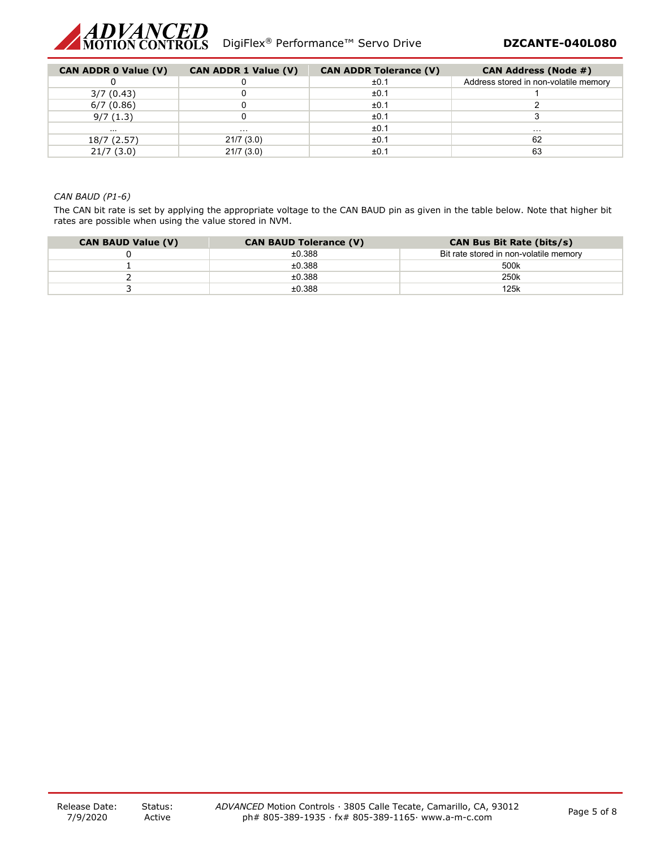

| <b>CAN ADDR 0 Value (V)</b> | <b>CAN ADDR 1 Value (V)</b> | <b>CAN ADDR Tolerance (V)</b> | <b>CAN Address (Node #)</b>           |
|-----------------------------|-----------------------------|-------------------------------|---------------------------------------|
|                             |                             | ±0.1                          | Address stored in non-volatile memory |
| 3/7(0.43)                   |                             | ±0.1                          |                                       |
| 6/7(0.86)                   |                             | ±0.1                          |                                       |
| 9/7(1.3)                    |                             | ±0.1                          |                                       |
| $\cdots$                    | .                           | ±0.1                          | $\cdots$                              |
| 18/7 (2.57)                 | 21/7(3.0)                   | ±0.1                          | 62                                    |
| 21/7(3.0)                   | 21/7(3.0)                   | ±0.1                          | 63                                    |

# *CAN BAUD (P1-6)*

The CAN bit rate is set by applying the appropriate voltage to the CAN BAUD pin as given in the table below. Note that higher bit rates are possible when using the value stored in NVM.

| <b>CAN BAUD Value (V)</b> | <b>CAN BAUD Tolerance (V)</b> | <b>CAN Bus Bit Rate (bits/s)</b>       |
|---------------------------|-------------------------------|----------------------------------------|
|                           | ±0.388                        | Bit rate stored in non-volatile memory |
|                           | ±0.388                        | 500 <sub>k</sub>                       |
|                           | ±0.388                        | 250 <sub>k</sub>                       |
|                           | ±0.388                        | 125k                                   |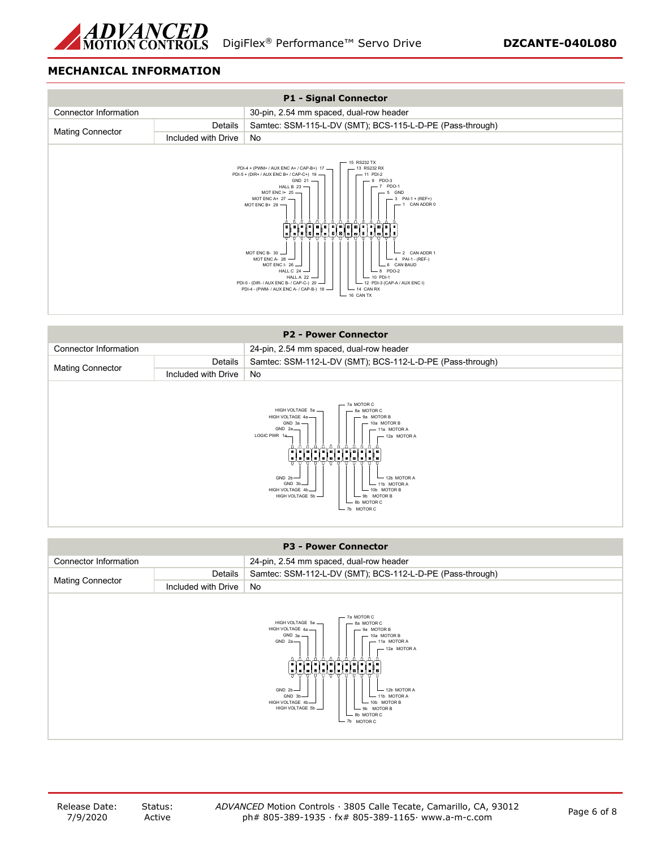

# **MECHANICAL INFORMATION**



|                                                                                                                                                                                                                                                                                                                                                                                                   |                     | <b>P2 - Power Connector</b>                               |
|---------------------------------------------------------------------------------------------------------------------------------------------------------------------------------------------------------------------------------------------------------------------------------------------------------------------------------------------------------------------------------------------------|---------------------|-----------------------------------------------------------|
| <b>Connector Information</b>                                                                                                                                                                                                                                                                                                                                                                      |                     | 24-pin, 2.54 mm spaced, dual-row header                   |
| Details                                                                                                                                                                                                                                                                                                                                                                                           |                     | Samtec: SSM-112-L-DV (SMT); BCS-112-L-D-PE (Pass-through) |
| <b>Mating Connector</b>                                                                                                                                                                                                                                                                                                                                                                           | Included with Drive | No                                                        |
| 7a MOTOR C<br>HIGH VOLTAGE 5a -<br>8a MOTOR C<br>HIGH VOLTAGE 4a -<br>- 9a MOTOR B<br>$GND 3a$ $-$<br>10a MOTOR B<br>GND 2a<br>11a MOTOR A<br>LOGIC PWR 1a<br>$-12a$ MOTOR A<br>والإلغاظ فالعامل والعالمان<br>sisisisisisisisisis<br>GND $2b$ -<br>$-$ 12b MOTOR A<br>GND 3b-<br>$-$ 11b MOTOR A<br>HIGH VOLTAGE 4b-<br>10b MOTOR B<br>HIGH VOLTAGE 5b -<br>9b MOTOR B<br>8b MOTOR C<br>b MOTOR C |                     |                                                           |

|                                                                                                                                                                                                                                                                                                                                                                             |                     | <b>P3 - Power Connector</b>                               |
|-----------------------------------------------------------------------------------------------------------------------------------------------------------------------------------------------------------------------------------------------------------------------------------------------------------------------------------------------------------------------------|---------------------|-----------------------------------------------------------|
| Connector Information<br>24-pin, 2.54 mm spaced, dual-row header                                                                                                                                                                                                                                                                                                            |                     |                                                           |
|                                                                                                                                                                                                                                                                                                                                                                             | Details             | Samtec: SSM-112-L-DV (SMT); BCS-112-L-D-PE (Pass-through) |
| <b>Mating Connector</b>                                                                                                                                                                                                                                                                                                                                                     | Included with Drive | No                                                        |
| - 7a MOTOR C<br>HIGH VOLTAGE 5a -<br>8a MOTOR C<br>HIGH VOLTAGE 4a-<br>- 9a MOTOR B<br>$GND 3a$ $-$<br>$-10a$ MOTOR B<br>GND 2a<br>- 11a MOTOR A<br>$-$ 12a MOTOR A<br>لتأليا فالتأليا فالتأليا فالتأليان<br>GND $2b$ -<br>$-$ 12b MOTOR A<br>GND 3b<br>$-11b$ MOTOR A<br>HIGH VOLTAGE 4b<br>- 10b MOTOR B<br>HIGH VOLTAGE 5b -<br>- 9b MOTOR B<br>8b MOTOR C<br>7b MOTOR C |                     |                                                           |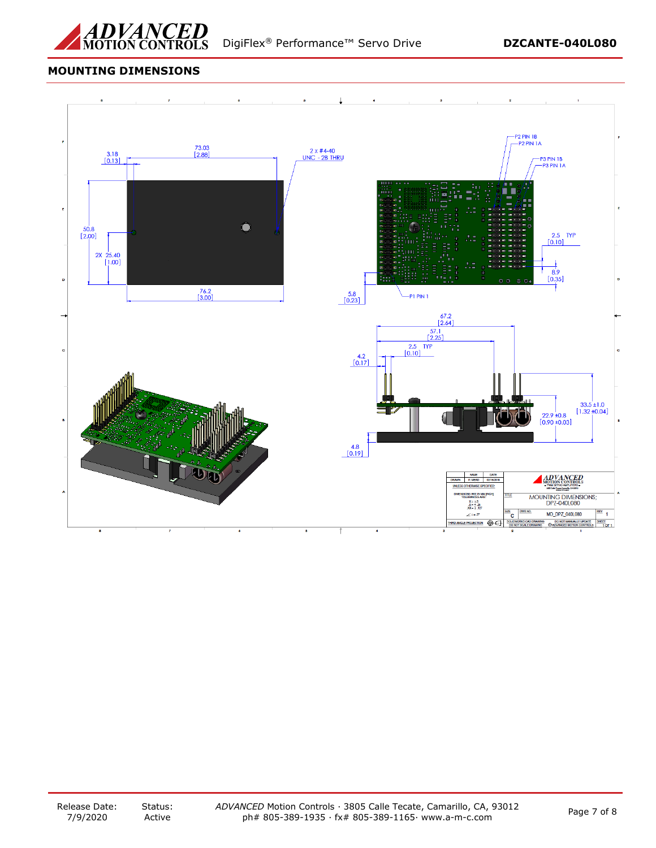

# **MOUNTING DIMENSIONS**